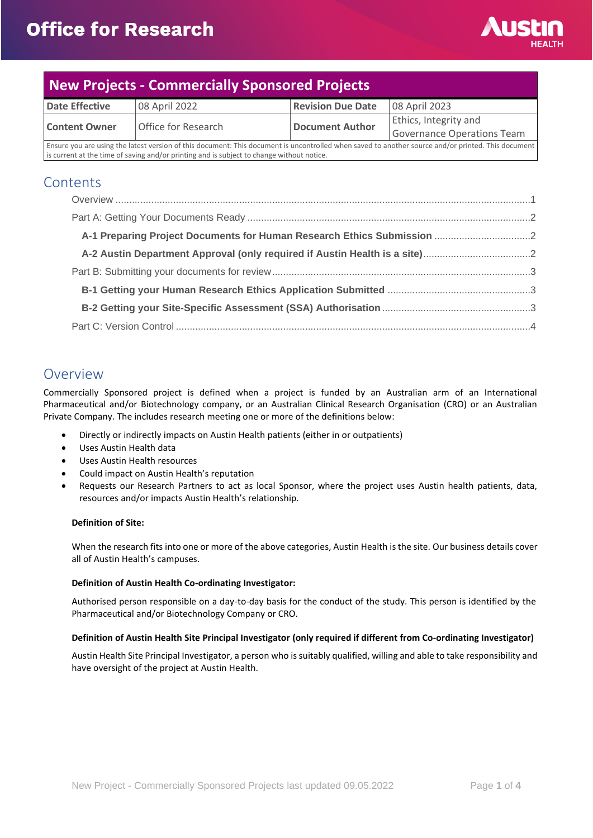

# **New Projects - Commercially Sponsored Projects**

| <b>Date Effective</b>                                                                                                                              | 08 April 2022       | <b>Revision Due Date</b> | 08 April 2023                |
|----------------------------------------------------------------------------------------------------------------------------------------------------|---------------------|--------------------------|------------------------------|
| <b>Content Owner</b>                                                                                                                               | Office for Research | Document Author          | <b>Ethics, Integrity and</b> |
|                                                                                                                                                    |                     |                          | Governance Operations Team   |
| Ensure you are using the latest version of this document: This document is uncontrolled when saved to another source and/or printed. This document |                     |                          |                              |

is current at the time of saving and/or printing and is subject to change without notice.

### **Contents**

### <span id="page-0-0"></span>Overview

Commercially Sponsored project is defined when a project is funded by an Australian arm of an International Pharmaceutical and/or Biotechnology company, or an Australian Clinical Research Organisation (CRO) or an Australian Private Company. The includes research meeting one or more of the definitions below:

- Directly or indirectly impacts on Austin Health patients (either in or outpatients)
- Uses Austin Health data
- Uses Austin Health resources
- Could impact on Austin Health's reputation
- Requests our Research Partners to act as local Sponsor, where the project uses Austin health patients, data, resources and/or impacts Austin Health's relationship.

#### **Definition of Site:**

When the research fits into one or more of the above categories, Austin Health is the site. Our business details cover all of Austin Health's campuses.

#### **Definition of Austin Health Co-ordinating Investigator:**

Authorised person responsible on a day-to-day basis for the conduct of the study. This person is identified by the Pharmaceutical and/or Biotechnology Company or CRO.

#### **Definition of Austin Health Site Principal Investigator (only required if different from Co-ordinating Investigator)**

Austin Health Site Principal Investigator, a person who is suitably qualified, willing and able to take responsibility and have oversight of the project at Austin Health.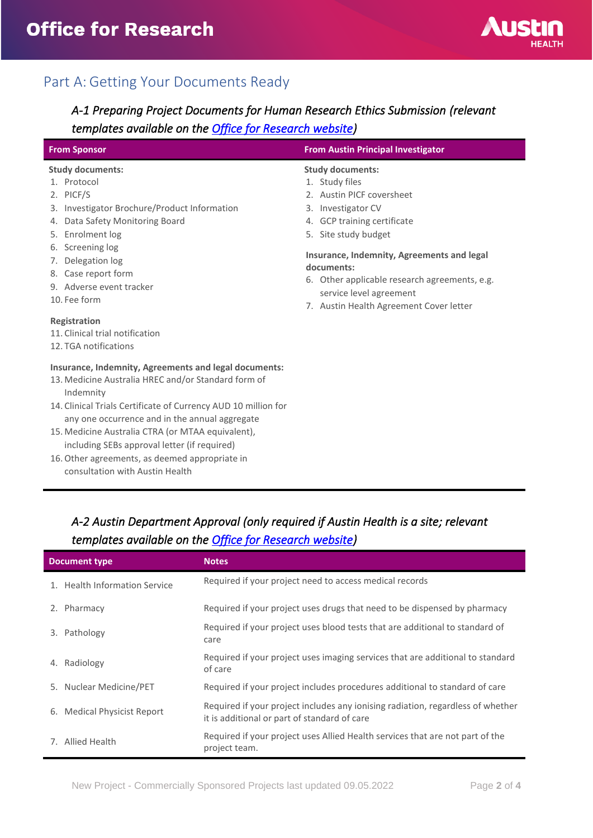

## <span id="page-1-0"></span>Part A: Getting Your Documents Ready

## <span id="page-1-1"></span>*A-1 Preparing Project Documents for Human Research Ethics Submission (relevant templates available on the [Office for Research website\)](https://www.austin.org.au/resources-for-researchers/)*

| <b>From Sponsor</b>                                                                                                                                                                                                                                                                                                                                                                                                                     | <b>From Austin Principal Investigator</b>                                                                                                                                                                                                                                                       |  |
|-----------------------------------------------------------------------------------------------------------------------------------------------------------------------------------------------------------------------------------------------------------------------------------------------------------------------------------------------------------------------------------------------------------------------------------------|-------------------------------------------------------------------------------------------------------------------------------------------------------------------------------------------------------------------------------------------------------------------------------------------------|--|
| <b>Study documents:</b><br>1. Protocol                                                                                                                                                                                                                                                                                                                                                                                                  | <b>Study documents:</b><br>1. Study files                                                                                                                                                                                                                                                       |  |
| 2. PICF/S<br>3. Investigator Brochure/Product Information<br>4. Data Safety Monitoring Board<br>5. Enrolment log<br>6. Screening log<br>7. Delegation log<br>8. Case report form<br>9. Adverse event tracker<br>10. Fee form                                                                                                                                                                                                            | 2. Austin PICF coversheet<br>Investigator CV<br>3.<br>GCP training certificate<br>4.<br>5. Site study budget<br>Insurance, Indemnity, Agreements and legal<br>documents:<br>6. Other applicable research agreements, e.g.<br>service level agreement<br>7. Austin Health Agreement Cover letter |  |
| Registration<br>11. Clinical trial notification<br>12. TGA notifications                                                                                                                                                                                                                                                                                                                                                                |                                                                                                                                                                                                                                                                                                 |  |
| Insurance, Indemnity, Agreements and legal documents:<br>13. Medicine Australia HREC and/or Standard form of<br>Indemnity<br>14. Clinical Trials Certificate of Currency AUD 10 million for<br>any one occurrence and in the annual aggregate<br>15. Medicine Australia CTRA (or MTAA equivalent),<br>including SEBs approval letter (if required)<br>16. Other agreements, as deemed appropriate in<br>consultation with Austin Health |                                                                                                                                                                                                                                                                                                 |  |

### <span id="page-1-2"></span>*A-2 Austin Department Approval (only required if Austin Health is a site; relevant templates available on the [Office for Research website\)](https://www.austin.org.au/resources-for-researchers/)*

| <b>Document type</b> |                               | <b>Notes</b>                                                                                                                    |
|----------------------|-------------------------------|---------------------------------------------------------------------------------------------------------------------------------|
|                      | 1. Health Information Service | Required if your project need to access medical records                                                                         |
|                      | 2. Pharmacy                   | Required if your project uses drugs that need to be dispensed by pharmacy                                                       |
| 3.                   | Pathology                     | Required if your project uses blood tests that are additional to standard of<br>care                                            |
|                      | 4. Radiology                  | Required if your project uses imaging services that are additional to standard<br>of care                                       |
|                      | 5. Nuclear Medicine/PET       | Required if your project includes procedures additional to standard of care                                                     |
|                      | 6. Medical Physicist Report   | Required if your project includes any ionising radiation, regardless of whether<br>it is additional or part of standard of care |
|                      | 7. Allied Health              | Required if your project uses Allied Health services that are not part of the<br>project team.                                  |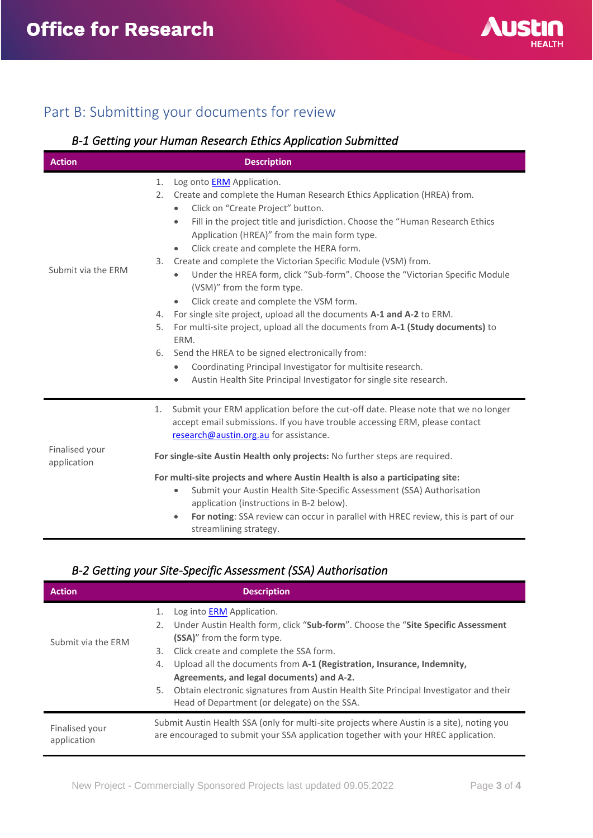

## <span id="page-2-0"></span>Part B: Submitting your documents for review

### <span id="page-2-1"></span>*B-1 Getting your Human Research Ethics Application Submitted*

| <b>Action</b>      | <b>Description</b>                                                                                                                                                                                                                                                                                                                                                                                                                                                                                                                                                                                                                                                                                                                                                                                                                                                                                                                               |  |
|--------------------|--------------------------------------------------------------------------------------------------------------------------------------------------------------------------------------------------------------------------------------------------------------------------------------------------------------------------------------------------------------------------------------------------------------------------------------------------------------------------------------------------------------------------------------------------------------------------------------------------------------------------------------------------------------------------------------------------------------------------------------------------------------------------------------------------------------------------------------------------------------------------------------------------------------------------------------------------|--|
| Submit via the ERM | Log onto <b>ERM</b> Application.<br>1.<br>2.<br>Create and complete the Human Research Ethics Application (HREA) from.<br>Click on "Create Project" button.<br>$\bullet$<br>Fill in the project title and jurisdiction. Choose the "Human Research Ethics<br>$\bullet$<br>Application (HREA)" from the main form type.<br>Click create and complete the HERA form.<br>$\bullet$<br>Create and complete the Victorian Specific Module (VSM) from.<br>3.<br>Under the HREA form, click "Sub-form". Choose the "Victorian Specific Module<br>$\bullet$<br>(VSM)" from the form type.<br>Click create and complete the VSM form.<br>$\bullet$<br>For single site project, upload all the documents A-1 and A-2 to ERM.<br>4.<br>For multi-site project, upload all the documents from A-1 (Study documents) to<br>5.<br>ERM.<br>Send the HREA to be signed electronically from:<br>6.<br>Coordinating Principal Investigator for multisite research. |  |
|                    | Austin Health Site Principal Investigator for single site research.<br>$\bullet$                                                                                                                                                                                                                                                                                                                                                                                                                                                                                                                                                                                                                                                                                                                                                                                                                                                                 |  |
| Finalised your     | Submit your ERM application before the cut-off date. Please note that we no longer<br>1.<br>accept email submissions. If you have trouble accessing ERM, please contact<br>research@austin.org.au for assistance.                                                                                                                                                                                                                                                                                                                                                                                                                                                                                                                                                                                                                                                                                                                                |  |
| application        | For single-site Austin Health only projects: No further steps are required.                                                                                                                                                                                                                                                                                                                                                                                                                                                                                                                                                                                                                                                                                                                                                                                                                                                                      |  |
|                    | For multi-site projects and where Austin Health is also a participating site:<br>Submit your Austin Health Site-Specific Assessment (SSA) Authorisation<br>$\bullet$<br>application (instructions in B-2 below).<br>For noting: SSA review can occur in parallel with HREC review, this is part of our<br>$\bullet$<br>streamlining strategy.                                                                                                                                                                                                                                                                                                                                                                                                                                                                                                                                                                                                    |  |

#### <span id="page-2-2"></span>*B-2 Getting your Site-Specific Assessment (SSA) Authorisation*

| <b>Action</b>                 | <b>Description</b>                                                                                                                                                                                                                                                                                                        |  |
|-------------------------------|---------------------------------------------------------------------------------------------------------------------------------------------------------------------------------------------------------------------------------------------------------------------------------------------------------------------------|--|
|                               | Log into <b>ERM</b> Application.<br>1.<br>2. Under Austin Health form, click "Sub-form". Choose the "Site Specific Assessment<br>(SSA)" from the form type.                                                                                                                                                               |  |
| Submit via the ERM            | Click create and complete the SSA form.<br>3.<br>Upload all the documents from A-1 (Registration, Insurance, Indemnity,<br>4.<br>Agreements, and legal documents) and A-2.<br>Obtain electronic signatures from Austin Health Site Principal Investigator and their<br>5.<br>Head of Department (or delegate) on the SSA. |  |
| Finalised your<br>application | Submit Austin Health SSA (only for multi-site projects where Austin is a site), noting you<br>are encouraged to submit your SSA application together with your HREC application.                                                                                                                                          |  |